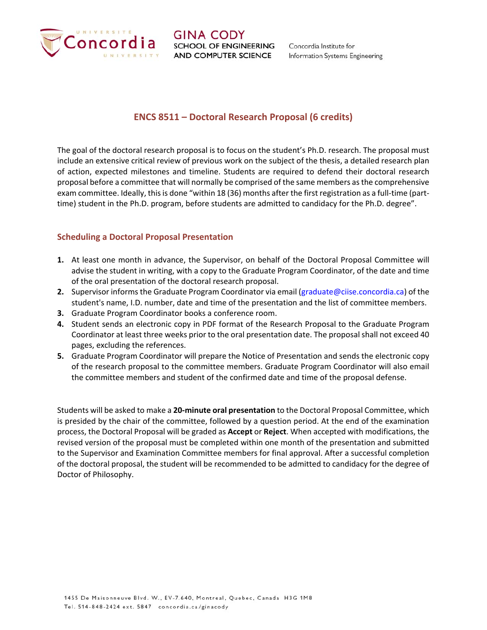

## **ENCS 8511 – Doctoral Research Proposal (6 credits)**

The goal of the doctoral research proposal is to focus on the student's Ph.D. research. The proposal must include an extensive critical review of previous work on the subject of the thesis, a detailed research plan of action, expected milestones and timeline. Students are required to defend their doctoral research proposal before a committee that will normally be comprised of the same members as the comprehensive exam committee. Ideally, this is done "within 18 (36) months after the first registration as a full-time (parttime) student in the Ph.D. program, before students are admitted to candidacy for the Ph.D. degree".

## **Scheduling a Doctoral Proposal Presentation**

- **1.** At least one month in advance, the Supervisor, on behalf of the Doctoral Proposal Committee will advise the student in writing, with a copy to the Graduate Program Coordinator, of the date and time of the oral presentation of the doctoral research proposal.
- **2.** Supervisor informs the Graduate Program Coordinator via email (graduate@ciise.concordia.ca) of the student's name, I.D. number, date and time of the presentation and the list of committee members.
- **3.** Graduate Program Coordinator books a conference room.
- **4.** Student sends an electronic copy in PDF format of the Research Proposal to the Graduate Program Coordinator at least three weeks prior to the oral presentation date. The proposal shall not exceed 40 pages, excluding the references.
- **5.** Graduate Program Coordinator will prepare the Notice of Presentation and sends the electronic copy of the research proposal to the committee members. Graduate Program Coordinator will also email the committee members and student of the confirmed date and time of the proposal defense.

Students will be asked to make a **20‐minute oral presentation** to the Doctoral Proposal Committee, which is presided by the chair of the committee, followed by a question period. At the end of the examination process, the Doctoral Proposal will be graded as **Accept** or **Reject**. When accepted with modifications, the revised version of the proposal must be completed within one month of the presentation and submitted to the Supervisor and Examination Committee members for final approval. After a successful completion of the doctoral proposal, the student will be recommended to be admitted to candidacy for the degree of Doctor of Philosophy.